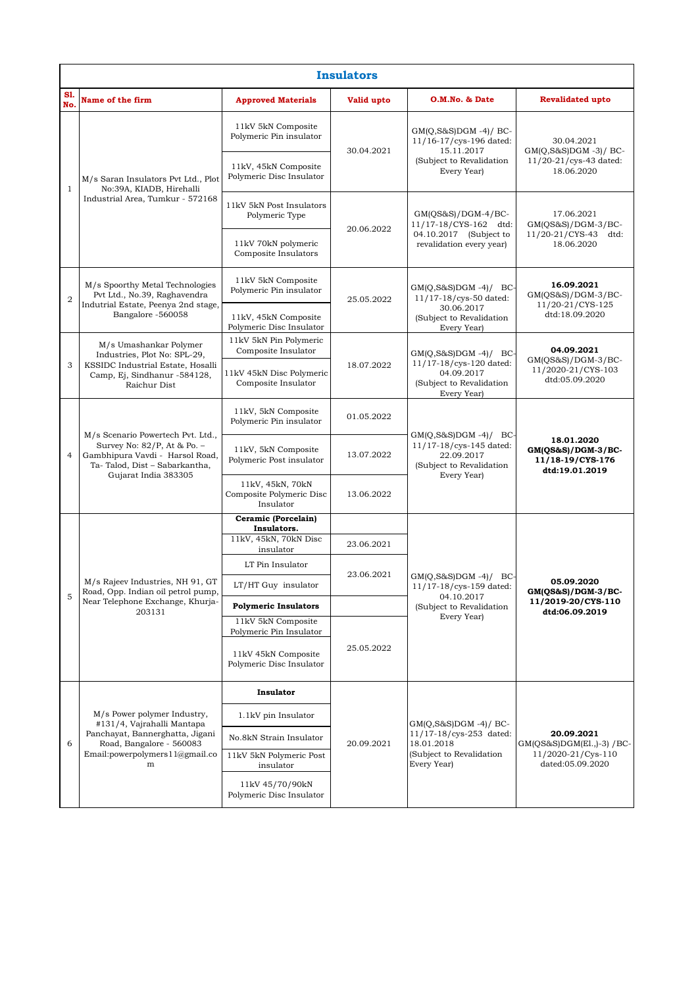| <b>Insulators</b> |                                                                                                                                                                    |                                                           |            |                                                                                                                      |                                                                                   |  |  |  |  |
|-------------------|--------------------------------------------------------------------------------------------------------------------------------------------------------------------|-----------------------------------------------------------|------------|----------------------------------------------------------------------------------------------------------------------|-----------------------------------------------------------------------------------|--|--|--|--|
| S1.<br>No.        | Name of the firm                                                                                                                                                   | <b>Approved Materials</b>                                 | Valid upto | O.M.No. & Date                                                                                                       | <b>Revalidated upto</b>                                                           |  |  |  |  |
| $\mathbf{1}$      | M/s Saran Insulators Pvt Ltd., Plot<br>No:39A, KIADB, Hirehalli<br>Industrial Area, Tumkur - 572168                                                                | 11kV 5kN Composite<br>Polymeric Pin insulator             | 30.04.2021 | $GM(Q, S\&S)DGM -4)/BC$<br>11/16-17/cys-196 dated:<br>15.11.2017<br>(Subject to Revalidation<br>Every Year)          | 30.04.2021<br>$GM(Q, S\&S)DGM -3)/BC$<br>11/20-21/cys-43 dated:<br>18.06.2020     |  |  |  |  |
|                   |                                                                                                                                                                    | 11kV, 45kN Composite<br>Polymeric Disc Insulator          |            |                                                                                                                      |                                                                                   |  |  |  |  |
|                   |                                                                                                                                                                    | 11kV 5kN Post Insulators<br>Polymeric Type                | 20.06.2022 | $GM(OS&S)/DGM-4/BC-$<br>11/17-18/CYS-162 dtd:<br>04.10.2017 (Subject to<br>revalidation every year)                  | 17.06.2021<br>$GM(QS&S)/DGM-3/BC-$<br>11/20-21/CYS-43<br>dtd:<br>18.06.2020       |  |  |  |  |
|                   |                                                                                                                                                                    | 11kV 70kN polymeric<br>Composite Insulators               |            |                                                                                                                      |                                                                                   |  |  |  |  |
| $\overline{2}$    | M/s Spoorthy Metal Technologies<br>Pvt Ltd., No.39, Raghavendra<br>Indutrial Estate, Peenya 2nd stage,<br>Bangalore -560058                                        | 11kV 5kN Composite<br>Polymeric Pin insulator             | 25.05.2022 | $GM(Q, S\&S)DGM -4)/BC$<br>11/17-18/cys-50 dated:<br>30.06.2017<br>(Subject to Revalidation<br>Every Year)           | 16.09.2021<br>$GM(QS&S)/DGM-3/BC-$<br>11/20-21/CYS-125<br>dtd:18.09.2020          |  |  |  |  |
|                   |                                                                                                                                                                    | 11kV, 45kN Composite<br>Polymeric Disc Insulator          |            |                                                                                                                      |                                                                                   |  |  |  |  |
| 3                 | M/s Umashankar Polymer<br>Industries, Plot No: SPL-29,<br>KSSIDC Industrial Estate, Hosalli<br>Camp, Ej, Sindhanur -584128,<br>Raichur Dist                        | 11kV 5kN Pin Polymeric<br>Composite Insulator             |            | $GM(Q, S\&S)DGM -4)/BC$<br>11/17-18/cys-120 dated:<br>04.09.2017<br>(Subject to Revalidation<br>Every Year)          | 04.09.2021<br>$GM(QS&S)/DGM-3/BC-$<br>11/2020-21/CYS-103<br>dtd:05.09.2020        |  |  |  |  |
|                   |                                                                                                                                                                    | 11kV 45kN Disc Polymeric<br>Composite Insulator           | 18.07.2022 |                                                                                                                      |                                                                                   |  |  |  |  |
| $\overline{4}$    | M/s Scenario Powertech Pvt. Ltd.,<br>Survey No: 82/P, At & Po. -<br>Gambhipura Vavdi - Harsol Road,<br>Ta-Talod, Dist - Sabarkantha,<br>Gujarat India 383305       | 11kV, 5kN Composite<br>Polymeric Pin insulator            | 01.05.2022 | $GM(Q, S\&S)DGM -4)/BC$<br>11/17-18/cys-145 dated:<br>22.09.2017<br>(Subject to Revalidation<br>Every Year)          | 18.01.2020<br>$GM(QS&S)/DGM-3/BC-$<br>11/18-19/CYS-176<br>dtd:19.01.2019          |  |  |  |  |
|                   |                                                                                                                                                                    | 11kV, 5kN Composite<br>Polymeric Post insulator           | 13.07.2022 |                                                                                                                      |                                                                                   |  |  |  |  |
|                   |                                                                                                                                                                    | 11kV, 45kN, 70kN<br>Composite Polymeric Disc<br>Insulator | 13.06.2022 |                                                                                                                      |                                                                                   |  |  |  |  |
|                   | M/s Rajeev Industries, NH 91, GT<br>Road, Opp. Indian oil petrol pump,<br>Near Telephone Exchange, Khurja-<br>203131                                               | Ceramic (Porcelain)<br>Insulators.                        |            | $GM(Q, S\&S)DGM -4)/BC$<br>$11/17 - 18/\rm{cys-159}$ dated:<br>04.10.2017<br>(Subject to Revalidation<br>Every Year) | 05.09.2020<br>$GM(QS&S)/DGM-3/BC-$<br>11/2019-20/CYS-110<br>dtd:06.09.2019        |  |  |  |  |
|                   |                                                                                                                                                                    | 11kV, 45kN, 70kN Disc<br>insulator                        | 23.06.2021 |                                                                                                                      |                                                                                   |  |  |  |  |
| 5                 |                                                                                                                                                                    | LT Pin Insulator                                          | 23.06.2021 |                                                                                                                      |                                                                                   |  |  |  |  |
|                   |                                                                                                                                                                    | LT/HT Guy insulator                                       |            |                                                                                                                      |                                                                                   |  |  |  |  |
|                   |                                                                                                                                                                    | <b>Polymeric Insulators</b>                               |            |                                                                                                                      |                                                                                   |  |  |  |  |
|                   |                                                                                                                                                                    | 11kV 5kN Composite<br>Polymeric Pin Insulator             | 25.05.2022 |                                                                                                                      |                                                                                   |  |  |  |  |
|                   |                                                                                                                                                                    | 11kV 45kN Composite<br>Polymeric Disc Insulator           |            |                                                                                                                      |                                                                                   |  |  |  |  |
| 6                 | M/s Power polymer Industry,<br>#131/4, Vajrahalli Mantapa<br>Panchayat, Bannerghatta, Jigani<br>Road, Bangalore - 560083<br>Email: powerpolymers 1 1@gmail.co<br>m | Insulator                                                 | 20.09.2021 | $GM(Q,S&S)DGM -4)/BC$<br>11/17-18/cys-253 dated:<br>18.01.2018<br>(Subject to Revalidation<br>Every Year)            | 20.09.2021<br>GM(QS&S)DGM(E1.,)-3) /BC-<br>11/2020-21/Cys-110<br>dated:05.09.2020 |  |  |  |  |
|                   |                                                                                                                                                                    | 1.1kV pin Insulator                                       |            |                                                                                                                      |                                                                                   |  |  |  |  |
|                   |                                                                                                                                                                    | No.8kN Strain Insulator                                   |            |                                                                                                                      |                                                                                   |  |  |  |  |
|                   |                                                                                                                                                                    | 11kV 5kN Polymeric Post<br>insulator                      |            |                                                                                                                      |                                                                                   |  |  |  |  |
|                   |                                                                                                                                                                    | 11kV 45/70/90kN<br>Polymeric Disc Insulator               |            |                                                                                                                      |                                                                                   |  |  |  |  |